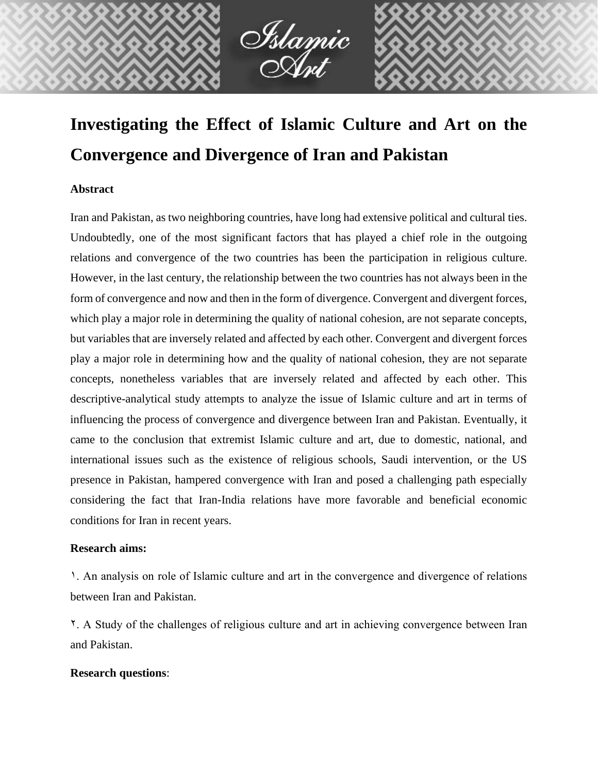

# **Investigating the Effect of Islamic Culture and Art on the Convergence and Divergence of Iran and Pakistan**

## **Abstract**

Iran and Pakistan, as two neighboring countries, have long had extensive political and cultural ties. Undoubtedly, one of the most significant factors that has played a chief role in the outgoing relations and convergence of the two countries has been the participation in religious culture. However, in the last century, the relationship between the two countries has not always been in the form of convergence and now and then in the form of divergence. Convergent and divergent forces, which play a major role in determining the quality of national cohesion, are not separate concepts, but variables that are inversely related and affected by each other. Convergent and divergent forces play a major role in determining how and the quality of national cohesion, they are not separate concepts, nonetheless variables that are inversely related and affected by each other. This descriptive-analytical study attempts to analyze the issue of Islamic culture and art in terms of influencing the process of convergence and divergence between Iran and Pakistan. Eventually, it came to the conclusion that extremist Islamic culture and art, due to domestic, national, and international issues such as the existence of religious schools, Saudi intervention, or the US presence in Pakistan, hampered convergence with Iran and posed a challenging path especially considering the fact that Iran-India relations have more favorable and beneficial economic conditions for Iran in recent years.

## **Research aims:**

1. An analysis on role of Islamic culture and art in the convergence and divergence of relations between Iran and Pakistan.

2. A Study of the challenges of religious culture and art in achieving convergence between Iran and Pakistan.

## **Research questions**: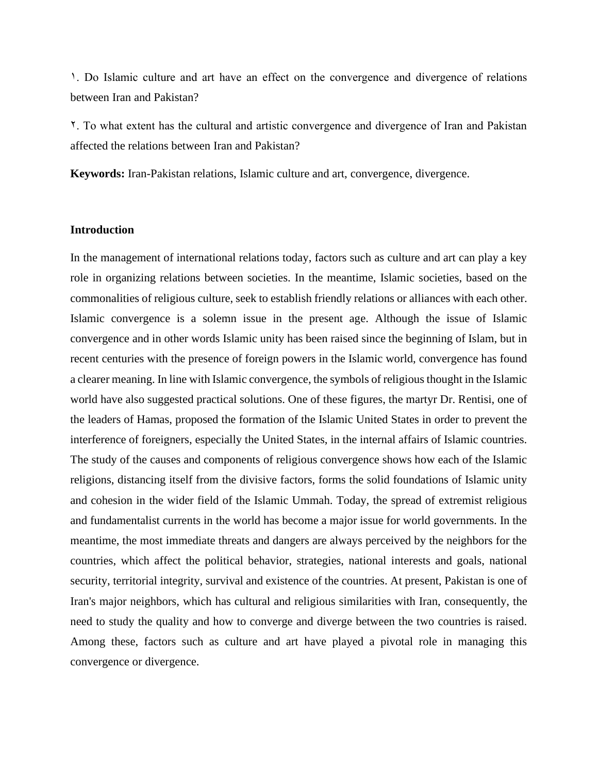1. Do Islamic culture and art have an effect on the convergence and divergence of relations between Iran and Pakistan?

2. To what extent has the cultural and artistic convergence and divergence of Iran and Pakistan affected the relations between Iran and Pakistan?

**Keywords:** Iran-Pakistan relations, Islamic culture and art, convergence, divergence.

#### **Introduction**

In the management of international relations today, factors such as culture and art can play a key role in organizing relations between societies. In the meantime, Islamic societies, based on the commonalities of religious culture, seek to establish friendly relations or alliances with each other. Islamic convergence is a solemn issue in the present age. Although the issue of Islamic convergence and in other words Islamic unity has been raised since the beginning of Islam, but in recent centuries with the presence of foreign powers in the Islamic world, convergence has found a clearer meaning. In line with Islamic convergence, the symbols of religious thought in the Islamic world have also suggested practical solutions. One of these figures, the martyr Dr. Rentisi, one of the leaders of Hamas, proposed the formation of the Islamic United States in order to prevent the interference of foreigners, especially the United States, in the internal affairs of Islamic countries. The study of the causes and components of religious convergence shows how each of the Islamic religions, distancing itself from the divisive factors, forms the solid foundations of Islamic unity and cohesion in the wider field of the Islamic Ummah. Today, the spread of extremist religious and fundamentalist currents in the world has become a major issue for world governments. In the meantime, the most immediate threats and dangers are always perceived by the neighbors for the countries, which affect the political behavior, strategies, national interests and goals, national security, territorial integrity, survival and existence of the countries. At present, Pakistan is one of Iran's major neighbors, which has cultural and religious similarities with Iran, consequently, the need to study the quality and how to converge and diverge between the two countries is raised. Among these, factors such as culture and art have played a pivotal role in managing this convergence or divergence.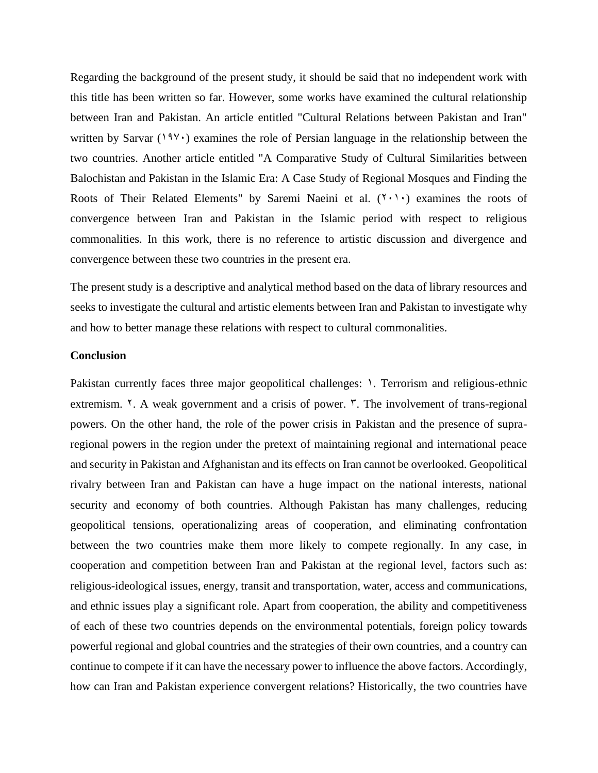Regarding the background of the present study, it should be said that no independent work with this title has been written so far. However, some works have examined the cultural relationship between Iran and Pakistan. An article entitled "Cultural Relations between Pakistan and Iran" written by Sarvar ( $19\$ C) examines the role of Persian language in the relationship between the two countries. Another article entitled "A Comparative Study of Cultural Similarities between Balochistan and Pakistan in the Islamic Era: A Case Study of Regional Mosques and Finding the Roots of Their Related Elements" by Saremi Naeini et al.  $(1 \cdot 1)$  examines the roots of convergence between Iran and Pakistan in the Islamic period with respect to religious commonalities. In this work, there is no reference to artistic discussion and divergence and convergence between these two countries in the present era.

The present study is a descriptive and analytical method based on the data of library resources and seeks to investigate the cultural and artistic elements between Iran and Pakistan to investigate why and how to better manage these relations with respect to cultural commonalities.

#### **Conclusion**

Pakistan currently faces three major geopolitical challenges:  $\lambda$ . Terrorism and religious-ethnic extremism.  $\zeta$ . A weak government and a crisis of power.  $\zeta$ . The involvement of trans-regional powers. On the other hand, the role of the power crisis in Pakistan and the presence of supraregional powers in the region under the pretext of maintaining regional and international peace and security in Pakistan and Afghanistan and its effects on Iran cannot be overlooked. Geopolitical rivalry between Iran and Pakistan can have a huge impact on the national interests, national security and economy of both countries. Although Pakistan has many challenges, reducing geopolitical tensions, operationalizing areas of cooperation, and eliminating confrontation between the two countries make them more likely to compete regionally. In any case, in cooperation and competition between Iran and Pakistan at the regional level, factors such as: religious-ideological issues, energy, transit and transportation, water, access and communications, and ethnic issues play a significant role. Apart from cooperation, the ability and competitiveness of each of these two countries depends on the environmental potentials, foreign policy towards powerful regional and global countries and the strategies of their own countries, and a country can continue to compete if it can have the necessary power to influence the above factors. Accordingly, how can Iran and Pakistan experience convergent relations? Historically, the two countries have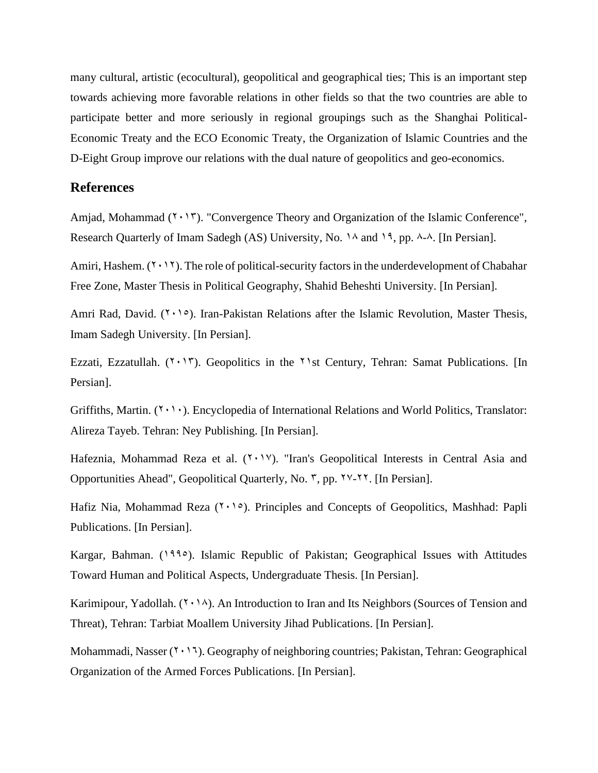many cultural, artistic (ecocultural), geopolitical and geographical ties; This is an important step towards achieving more favorable relations in other fields so that the two countries are able to participate better and more seriously in regional groupings such as the Shanghai Political-Economic Treaty and the ECO Economic Treaty, the Organization of Islamic Countries and the D-Eight Group improve our relations with the dual nature of geopolitics and geo-economics.

## **References**

Amjad, Mohammad  $(2 \cdot 17)$ . "Convergence Theory and Organization of the Islamic Conference", Research Quarterly of Imam Sadegh (AS) University, No.  $14$  and  $19$ , pp.  $4-4$ . [In Persian].

Amiri, Hashem.  $(1 \cdot 1)$ . The role of political-security factors in the underdevelopment of Chabahar Free Zone, Master Thesis in Political Geography, Shahid Beheshti University. [In Persian].

Amri Rad, David.  $(1, 1)$ . Iran-Pakistan Relations after the Islamic Revolution, Master Thesis, Imam Sadegh University. [In Persian].

Ezzati, Ezzatullah.  $(Y \cdot Y)$ . Geopolitics in the  $Y$ st Century, Tehran: Samat Publications. [In Persian].

Griffiths, Martin.  $(1 \cdot 1)$ . Encyclopedia of International Relations and World Politics, Translator: Alireza Tayeb. Tehran: Ney Publishing. [In Persian].

Hafeznia, Mohammad Reza et al.  $(Y \cdot Y)'$ ). "Iran's Geopolitical Interests in Central Asia and Opportunities Ahead", Geopolitical Quarterly, No.  $\tilde{r}$ , pp.  $\tilde{y}$ . [In Persian].

Hafiz Nia, Mohammad Reza  $(1 \cdot 1)$ . Principles and Concepts of Geopolitics, Mashhad: Papli Publications. [In Persian].

Kargar, Bahman. (1990). Islamic Republic of Pakistan; Geographical Issues with Attitudes Toward Human and Political Aspects, Undergraduate Thesis. [In Persian].

Karimipour, Yadollah.  $(Y \cdot \nightharpoonup)$ . An Introduction to Iran and Its Neighbors (Sources of Tension and Threat), Tehran: Tarbiat Moallem University Jihad Publications. [In Persian].

Mohammadi, Nasser  $(7 \cdot 17)$ . Geography of neighboring countries; Pakistan, Tehran: Geographical Organization of the Armed Forces Publications. [In Persian].